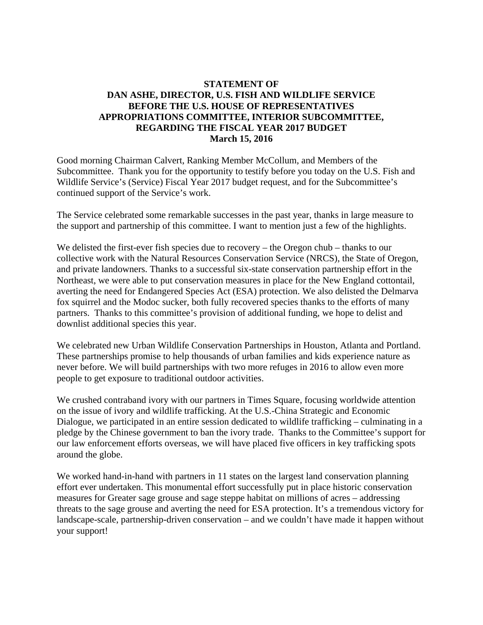## **STATEMENT OF DAN ASHE, DIRECTOR, U.S. FISH AND WILDLIFE SERVICE BEFORE THE U.S. HOUSE OF REPRESENTATIVES APPROPRIATIONS COMMITTEE, INTERIOR SUBCOMMITTEE, REGARDING THE FISCAL YEAR 2017 BUDGET March 15, 2016**

Good morning Chairman Calvert, Ranking Member McCollum, and Members of the Subcommittee. Thank you for the opportunity to testify before you today on the U.S. Fish and Wildlife Service's (Service) Fiscal Year 2017 budget request, and for the Subcommittee's continued support of the Service's work.

The Service celebrated some remarkable successes in the past year, thanks in large measure to the support and partnership of this committee. I want to mention just a few of the highlights.

We delisted the first-ever fish species due to recovery – the Oregon chub – thanks to our collective work with the Natural Resources Conservation Service (NRCS), the State of Oregon, and private landowners. Thanks to a successful six-state conservation partnership effort in the Northeast, we were able to put conservation measures in place for the New England cottontail, averting the need for Endangered Species Act (ESA) protection. We also delisted the Delmarva fox squirrel and the Modoc sucker, both fully recovered species thanks to the efforts of many partners. Thanks to this committee's provision of additional funding, we hope to delist and downlist additional species this year.

We celebrated new Urban Wildlife Conservation Partnerships in Houston, Atlanta and Portland. These partnerships promise to help thousands of urban families and kids experience nature as never before. We will build partnerships with two more refuges in 2016 to allow even more people to get exposure to traditional outdoor activities.

We crushed contraband ivory with our partners in Times Square, focusing worldwide attention on the issue of ivory and wildlife trafficking. At the U.S.-China Strategic and Economic Dialogue, we participated in an entire session dedicated to wildlife trafficking – culminating in a pledge by the Chinese government to ban the ivory trade. Thanks to the Committee's support for our law enforcement efforts overseas, we will have placed five officers in key trafficking spots around the globe.

We worked hand-in-hand with partners in 11 states on the largest land conservation planning effort ever undertaken. This monumental effort successfully put in place historic conservation measures for Greater sage grouse and sage steppe habitat on millions of acres – addressing threats to the sage grouse and averting the need for ESA protection. It's a tremendous victory for landscape-scale, partnership-driven conservation – and we couldn't have made it happen without your support!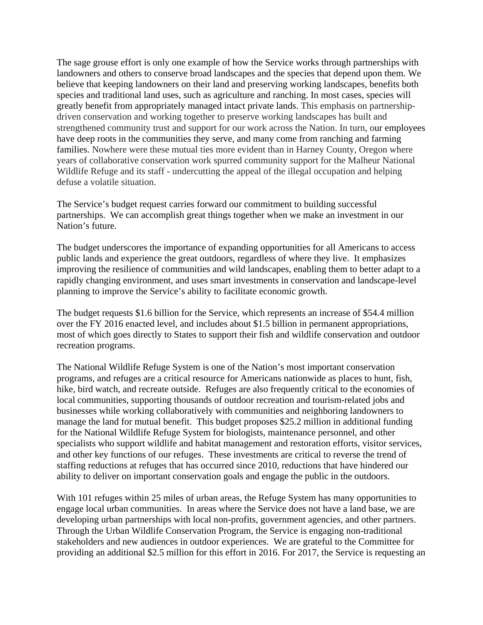The sage grouse effort is only one example of how the Service works through partnerships with landowners and others to conserve broad landscapes and the species that depend upon them. We believe that keeping landowners on their land and preserving working landscapes, benefits both species and traditional land uses, such as agriculture and ranching. In most cases, species will greatly benefit from appropriately managed intact private lands. This emphasis on partnershipdriven conservation and working together to preserve working landscapes has built and strengthened community trust and support for our work across the Nation. In turn, our employees have deep roots in the communities they serve, and many come from ranching and farming families. Nowhere were these mutual ties more evident than in Harney County, Oregon where years of collaborative conservation work spurred community support for the Malheur National Wildlife Refuge and its staff - undercutting the appeal of the illegal occupation and helping defuse a volatile situation.

The Service's budget request carries forward our commitment to building successful partnerships. We can accomplish great things together when we make an investment in our Nation's future.

The budget underscores the importance of expanding opportunities for all Americans to access public lands and experience the great outdoors, regardless of where they live. It emphasizes improving the resilience of communities and wild landscapes, enabling them to better adapt to a rapidly changing environment, and uses smart investments in conservation and landscape-level planning to improve the Service's ability to facilitate economic growth.

The budget requests \$1.6 billion for the Service, which represents an increase of \$54.4 million over the FY 2016 enacted level, and includes about \$1.5 billion in permanent appropriations, most of which goes directly to States to support their fish and wildlife conservation and outdoor recreation programs.

The National Wildlife Refuge System is one of the Nation's most important conservation programs, and refuges are a critical resource for Americans nationwide as places to hunt, fish, hike, bird watch, and recreate outside. Refuges are also frequently critical to the economies of local communities, supporting thousands of outdoor recreation and tourism-related jobs and businesses while working collaboratively with communities and neighboring landowners to manage the land for mutual benefit.This budget proposes \$25.2 million in additional funding for the National Wildlife Refuge System for biologists, maintenance personnel, and other specialists who support wildlife and habitat management and restoration efforts, visitor services, and other key functions of our refuges. These investments are critical to reverse the trend of staffing reductions at refuges that has occurred since 2010, reductions that have hindered our ability to deliver on important conservation goals and engage the public in the outdoors.

With 101 refuges within 25 miles of urban areas, the Refuge System has many opportunities to engage local urban communities. In areas where the Service does not have a land base, we are developing urban partnerships with local non-profits, government agencies, and other partners. Through the Urban Wildlife Conservation Program, the Service is engaging non-traditional stakeholders and new audiences in outdoor experiences. We are grateful to the Committee for providing an additional \$2.5 million for this effort in 2016. For 2017, the Service is requesting an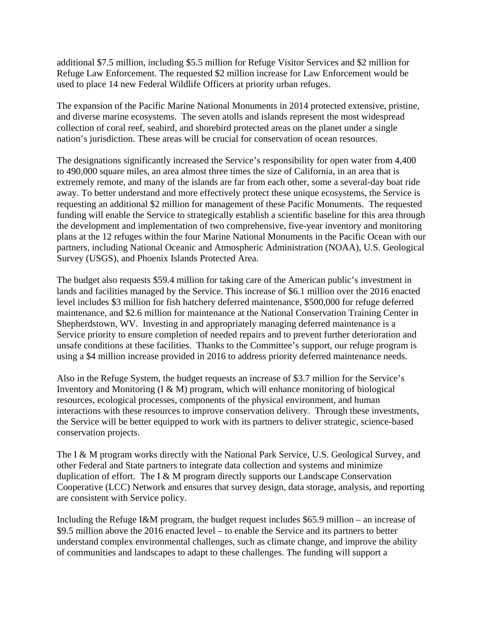additional \$7.5 million, including \$5.5 million for Refuge Visitor Services and \$2 million for Refuge Law Enforcement. The requested \$2 million increase for Law Enforcement would be used to place 14 new Federal Wildlife Officers at priority urban refuges.

The expansion of the Pacific Marine National Monuments in 2014 protected extensive, pristine, and diverse marine ecosystems. The seven atolls and islands represent the most widespread collection of coral reef, seabird, and shorebird protected areas on the planet under a single nation's jurisdiction. These areas will be crucial for conservation of ocean resources.

The designations significantly increased the Service's responsibility for open water from 4,400 to 490,000 square miles, an area almost three times the size of California, in an area that is extremely remote, and many of the islands are far from each other, some a several-day boat ride away. To better understand and more effectively protect these unique ecosystems, the Service is requesting an additional \$2 million for management of these Pacific Monuments. The requested funding will enable the Service to strategically establish a scientific baseline for this area through the development and implementation of two comprehensive, five-year inventory and monitoring plans at the 12 refuges within the four Marine National Monuments in the Pacific Ocean with our partners, including National Oceanic and Atmospheric Administration (NOAA), U.S. Geological Survey (USGS), and Phoenix Islands Protected Area.

The budget also requests \$59.4 million for taking care of the American public's investment in lands and facilities managed by the Service. This increase of \$6.1 million over the 2016 enacted level includes \$3 million for fish hatchery deferred maintenance, \$500,000 for refuge deferred maintenance, and \$2.6 million for maintenance at the National Conservation Training Center in Shepherdstown, WV. Investing in and appropriately managing deferred maintenance is a Service priority to ensure completion of needed repairs and to prevent further deterioration and unsafe conditions at these facilities. Thanks to the Committee's support, our refuge program is using a \$4 million increase provided in 2016 to address priority deferred maintenance needs.

Also in the Refuge System, the budget requests an increase of \$3.7 million for the Service's Inventory and Monitoring  $(I \& M)$  program, which will enhance monitoring of biological resources, ecological processes, components of the physical environment, and human interactions with these resources to improve conservation delivery. Through these investments, the Service will be better equipped to work with its partners to deliver strategic, science-based conservation projects.

The I & M program works directly with the National Park Service, U.S. Geological Survey, and other Federal and State partners to integrate data collection and systems and minimize duplication of effort. The I & M program directly supports our Landscape Conservation Cooperative (LCC) Network and ensures that survey design, data storage, analysis, and reporting are consistent with Service policy.

Including the Refuge I&M program, the budget request includes \$65.9 million – an increase of \$9.5 million above the 2016 enacted level – to enable the Service and its partners to better understand complex environmental challenges, such as climate change, and improve the ability of communities and landscapes to adapt to these challenges. The funding will support a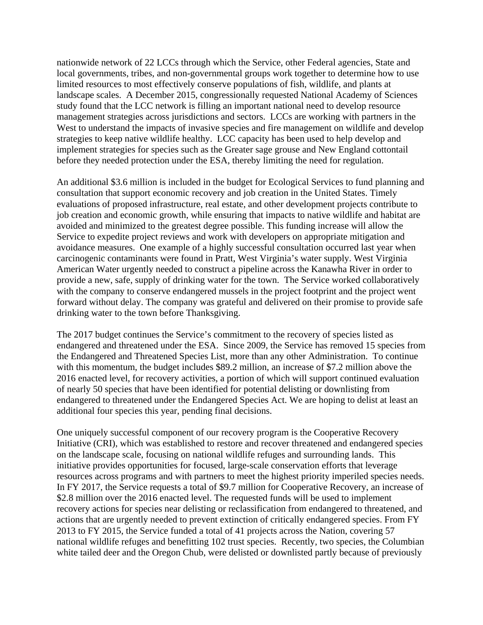nationwide network of 22 LCCs through which the Service, other Federal agencies, State and local governments, tribes, and non-governmental groups work together to determine how to use limited resources to most effectively conserve populations of fish, wildlife, and plants at landscape scales. A December 2015, congressionally requested National Academy of Sciences study found that the LCC network is filling an important national need to develop resource management strategies across jurisdictions and sectors. LCCs are working with partners in the West to understand the impacts of invasive species and fire management on wildlife and develop strategies to keep native wildlife healthy. LCC capacity has been used to help develop and implement strategies for species such as the Greater sage grouse and New England cottontail before they needed protection under the ESA, thereby limiting the need for regulation.

An additional \$3.6 million is included in the budget for Ecological Services to fund planning and consultation that support economic recovery and job creation in the United States. Timely evaluations of proposed infrastructure, real estate, and other development projects contribute to job creation and economic growth, while ensuring that impacts to native wildlife and habitat are avoided and minimized to the greatest degree possible. This funding increase will allow the Service to expedite project reviews and work with developers on appropriate mitigation and avoidance measures. One example of a highly successful consultation occurred last year when carcinogenic contaminants were found in Pratt, West Virginia's water supply. West Virginia American Water urgently needed to construct a pipeline across the Kanawha River in order to provide a new, safe, supply of drinking water for the town. The Service worked collaboratively with the company to conserve endangered mussels in the project footprint and the project went forward without delay. The company was grateful and delivered on their promise to provide safe drinking water to the town before Thanksgiving.

The 2017 budget continues the Service's commitment to the recovery of species listed as endangered and threatened under the ESA. Since 2009, the Service has removed 15 species from the Endangered and Threatened Species List, more than any other Administration. To continue with this momentum, the budget includes \$89.2 million, an increase of \$7.2 million above the 2016 enacted level, for recovery activities, a portion of which will support continued evaluation of nearly 50 species that have been identified for potential delisting or downlisting from endangered to threatened under the Endangered Species Act. We are hoping to delist at least an additional four species this year, pending final decisions.

One uniquely successful component of our recovery program is the Cooperative Recovery Initiative (CRI), which was established to restore and recover threatened and endangered species on the landscape scale, focusing on national wildlife refuges and surrounding lands. This initiative provides opportunities for focused, large-scale conservation efforts that leverage resources across programs and with partners to meet the highest priority imperiled species needs. In FY 2017, the Service requests a total of \$9.7 million for Cooperative Recovery, an increase of \$2.8 million over the 2016 enacted level. The requested funds will be used to implement recovery actions for species near delisting or reclassification from endangered to threatened, and actions that are urgently needed to prevent extinction of critically endangered species. From FY 2013 to FY 2015, the Service funded a total of 41 projects across the Nation, covering 57 national wildlife refuges and benefitting 102 trust species. Recently, two species, the Columbian white tailed deer and the Oregon Chub, were delisted or downlisted partly because of previously